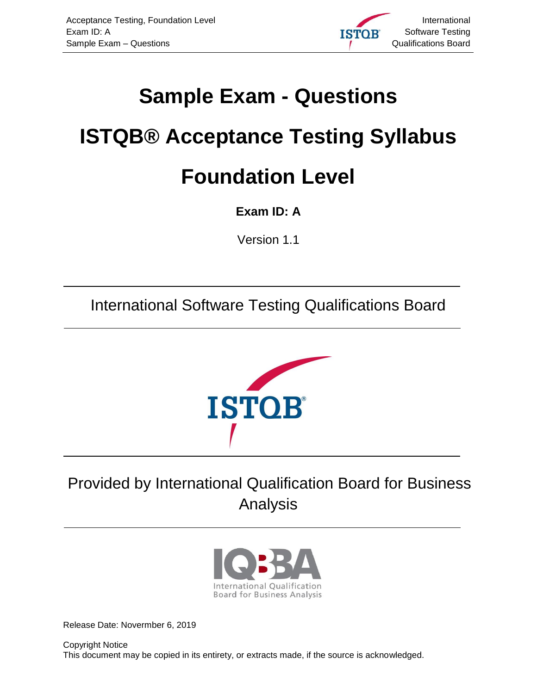

# <span id="page-0-0"></span>**Sample Exam - Questions**

# <span id="page-0-1"></span>**ISTQB® Acceptance Testing Syllabus Foundation Level**

<span id="page-0-2"></span>**Exam ID: A**

<span id="page-0-3"></span>Version 1.1

International Software Testing Qualifications Board



# Provided by International Qualification Board for Business Analysis



<span id="page-0-4"></span>Release Date: Novermber 6, 2019

Copyright Notice This document may be copied in its entirety, or extracts made, if the source is acknowledged.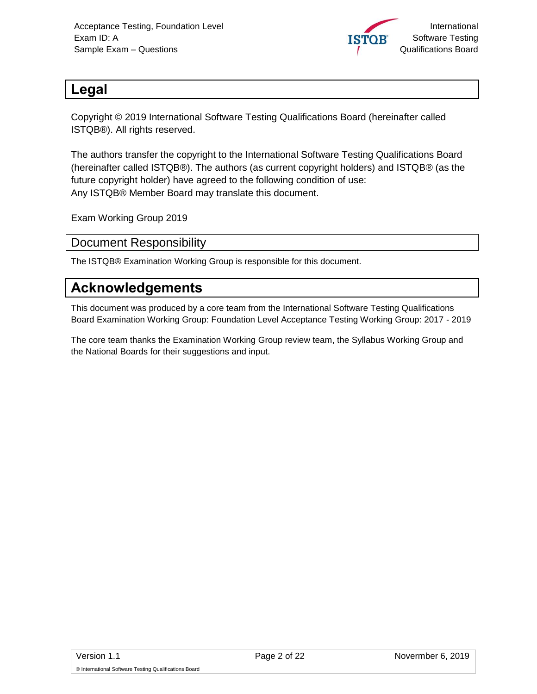

# <span id="page-1-0"></span>**Legal**

Copyright © 2019 International Software Testing Qualifications Board (hereinafter called ISTQB®). All rights reserved.

The authors transfer the copyright to the International Software Testing Qualifications Board (hereinafter called ISTQB®). The authors (as current copyright holders) and ISTQB® (as the future copyright holder) have agreed to the following condition of use: Any ISTQB® Member Board may translate this document.

Exam Working Group 2019

#### <span id="page-1-1"></span>Document Responsibility

The ISTQB® Examination Working Group is responsible for this document.

# <span id="page-1-2"></span>**Acknowledgements**

This document was produced by a core team from the International Software Testing Qualifications Board Examination Working Group: Foundation Level Acceptance Testing Working Group: 2017 - 2019

The core team thanks the Examination Working Group review team, the Syllabus Working Group and the National Boards for their suggestions and input.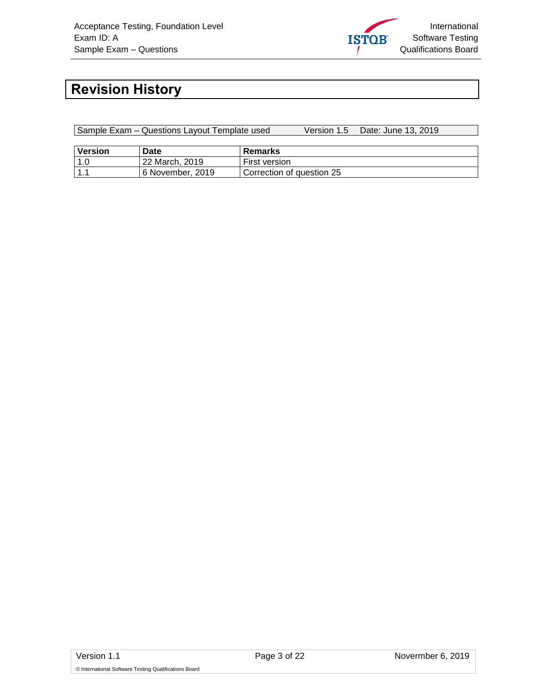

# <span id="page-2-0"></span>**Revision History**

| Sample Exam – Questions Layout Template used |                  |                           | Version 1.5 | Date: June 13, 2019 |
|----------------------------------------------|------------------|---------------------------|-------------|---------------------|
|                                              |                  |                           |             |                     |
| <b>Version</b>                               | Date             | Remarks                   |             |                     |
| 1.0                                          | l 22 March. 2019 | First version             |             |                     |
| 11.1                                         | 6 November, 2019 | Correction of question 25 |             |                     |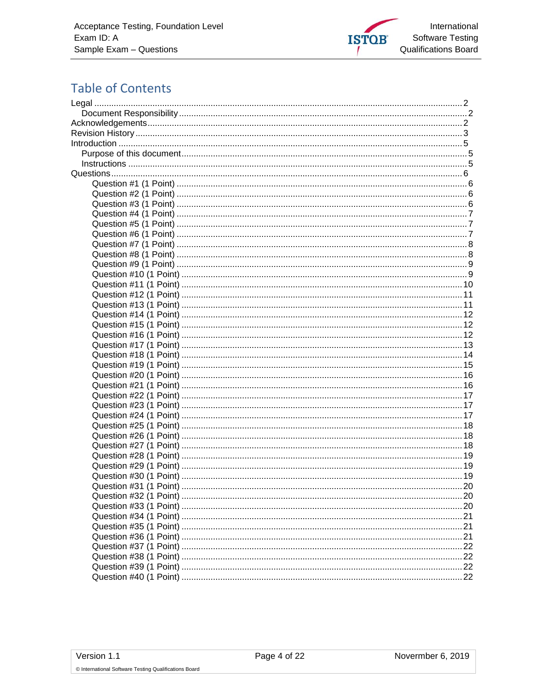

# **Table of Contents**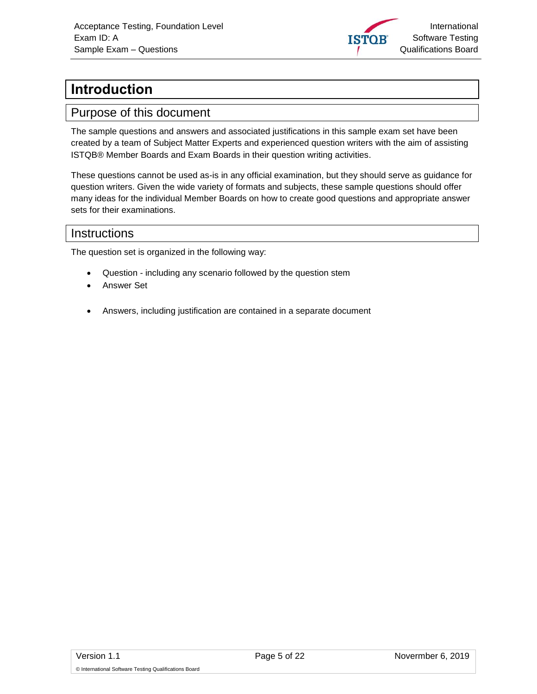

# <span id="page-4-0"></span>**Introduction**

#### <span id="page-4-1"></span>Purpose of this document

The sample questions and answers and associated justifications in this sample exam set have been created by a team of Subject Matter Experts and experienced question writers with the aim of assisting ISTQB® Member Boards and Exam Boards in their question writing activities.

These questions cannot be used as-is in any official examination, but they should serve as guidance for question writers. Given the wide variety of formats and subjects, these sample questions should offer many ideas for the individual Member Boards on how to create good questions and appropriate answer sets for their examinations.

#### <span id="page-4-2"></span>Instructions

The question set is organized in the following way:

- Question including any scenario followed by the question stem
- Answer Set
- Answers, including justification are contained in a separate document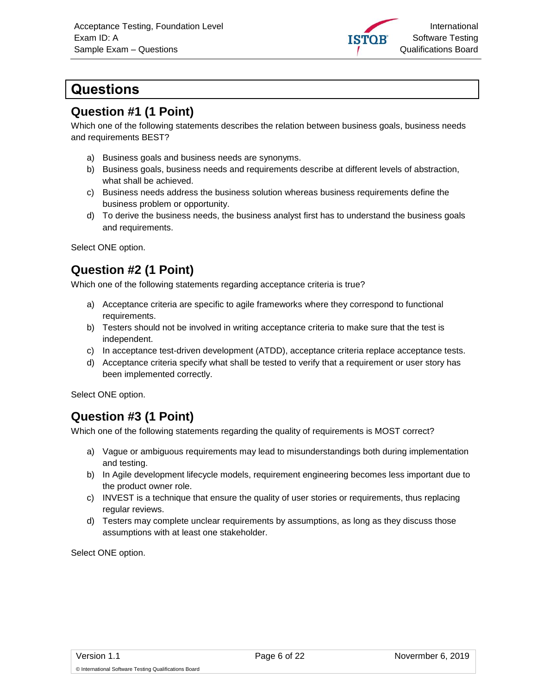

# <span id="page-5-0"></span>**Questions**

#### <span id="page-5-1"></span>**Question #1 (1 Point)**

Which one of the following statements describes the relation between business goals, business needs and requirements BEST?

- a) Business goals and business needs are synonyms.
- b) Business goals, business needs and requirements describe at different levels of abstraction, what shall be achieved.
- c) Business needs address the business solution whereas business requirements define the business problem or opportunity.
- d) To derive the business needs, the business analyst first has to understand the business goals and requirements.

Select ONE option.

#### <span id="page-5-2"></span>**Question #2 (1 Point)**

Which one of the following statements regarding acceptance criteria is true?

- a) Acceptance criteria are specific to agile frameworks where they correspond to functional requirements.
- b) Testers should not be involved in writing acceptance criteria to make sure that the test is independent.
- c) In acceptance test-driven development (ATDD), acceptance criteria replace acceptance tests.
- d) Acceptance criteria specify what shall be tested to verify that a requirement or user story has been implemented correctly.

Select ONE option.

#### <span id="page-5-3"></span>**Question #3 (1 Point)**

Which one of the following statements regarding the quality of requirements is MOST correct?

- a) Vague or ambiguous requirements may lead to misunderstandings both during implementation and testing.
- b) In Agile development lifecycle models, requirement engineering becomes less important due to the product owner role.
- c) INVEST is a technique that ensure the quality of user stories or requirements, thus replacing regular reviews.
- d) Testers may complete unclear requirements by assumptions, as long as they discuss those assumptions with at least one stakeholder.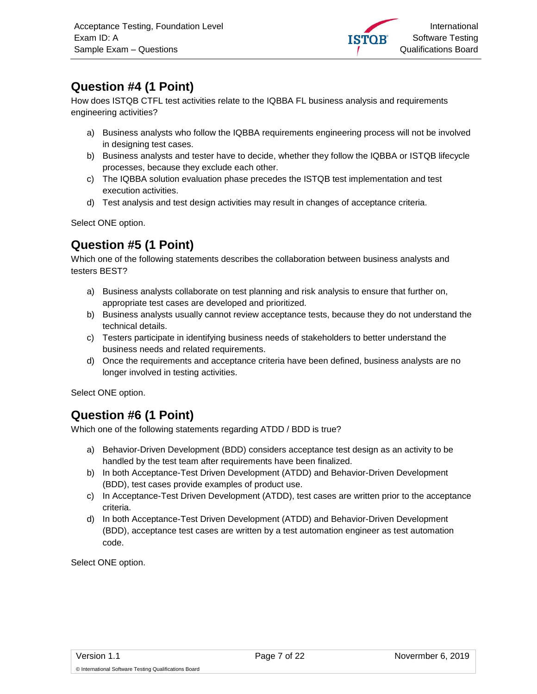

# <span id="page-6-0"></span>**Question #4 (1 Point)**

How does ISTQB CTFL test activities relate to the IQBBA FL business analysis and requirements engineering activities?

- a) Business analysts who follow the IQBBA requirements engineering process will not be involved in designing test cases.
- b) Business analysts and tester have to decide, whether they follow the IQBBA or ISTQB lifecycle processes, because they exclude each other.
- c) The IQBBA solution evaluation phase precedes the ISTQB test implementation and test execution activities.
- d) Test analysis and test design activities may result in changes of acceptance criteria.

Select ONE option.

#### <span id="page-6-1"></span>**Question #5 (1 Point)**

Which one of the following statements describes the collaboration between business analysts and testers BEST?

- a) Business analysts collaborate on test planning and risk analysis to ensure that further on, appropriate test cases are developed and prioritized.
- b) Business analysts usually cannot review acceptance tests, because they do not understand the technical details.
- c) Testers participate in identifying business needs of stakeholders to better understand the business needs and related requirements.
- d) Once the requirements and acceptance criteria have been defined, business analysts are no longer involved in testing activities.

Select ONE option.

#### <span id="page-6-2"></span>**Question #6 (1 Point)**

Which one of the following statements regarding ATDD / BDD is true?

- a) Behavior-Driven Development (BDD) considers acceptance test design as an activity to be handled by the test team after requirements have been finalized.
- b) In both Acceptance-Test Driven Development (ATDD) and Behavior-Driven Development (BDD), test cases provide examples of product use.
- c) In Acceptance-Test Driven Development (ATDD), test cases are written prior to the acceptance criteria.
- d) In both Acceptance-Test Driven Development (ATDD) and Behavior-Driven Development (BDD), acceptance test cases are written by a test automation engineer as test automation code.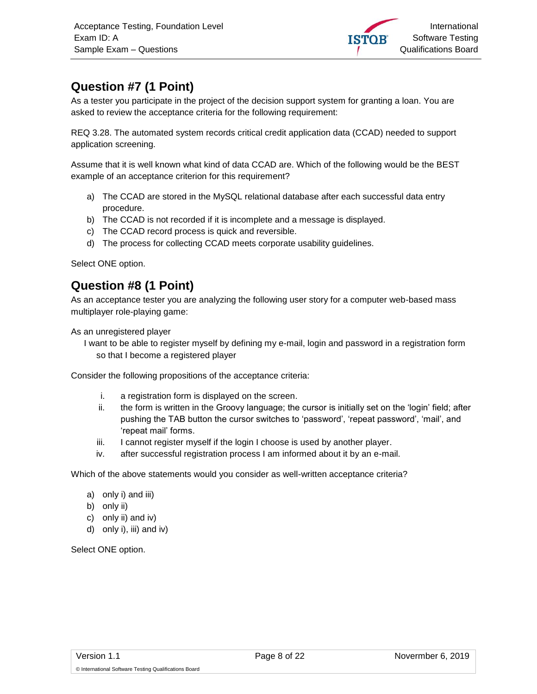

# <span id="page-7-0"></span>**Question #7 (1 Point)**

As a tester you participate in the project of the decision support system for granting a loan. You are asked to review the acceptance criteria for the following requirement:

REQ 3.28. The automated system records critical credit application data (CCAD) needed to support application screening.

Assume that it is well known what kind of data CCAD are. Which of the following would be the BEST example of an acceptance criterion for this requirement?

- a) The CCAD are stored in the MySQL relational database after each successful data entry procedure.
- b) The CCAD is not recorded if it is incomplete and a message is displayed.
- c) The CCAD record process is quick and reversible.
- d) The process for collecting CCAD meets corporate usability guidelines.

Select ONE option.

#### <span id="page-7-1"></span>**Question #8 (1 Point)**

As an acceptance tester you are analyzing the following user story for a computer web-based mass multiplayer role-playing game:

As an unregistered player

I want to be able to register myself by defining my e-mail, login and password in a registration form so that I become a registered player

Consider the following propositions of the acceptance criteria:

- i. a registration form is displayed on the screen.
- ii. the form is written in the Groovy language; the cursor is initially set on the 'login' field; after pushing the TAB button the cursor switches to 'password', 'repeat password', 'mail', and 'repeat mail' forms.
- iii. I cannot register myself if the login I choose is used by another player.
- iv. after successful registration process I am informed about it by an e-mail.

Which of the above statements would you consider as well-written acceptance criteria?

- a) only i) and iii)
- b) only ii)
- c) only ii) and iv)
- d) only i), iii) and iv)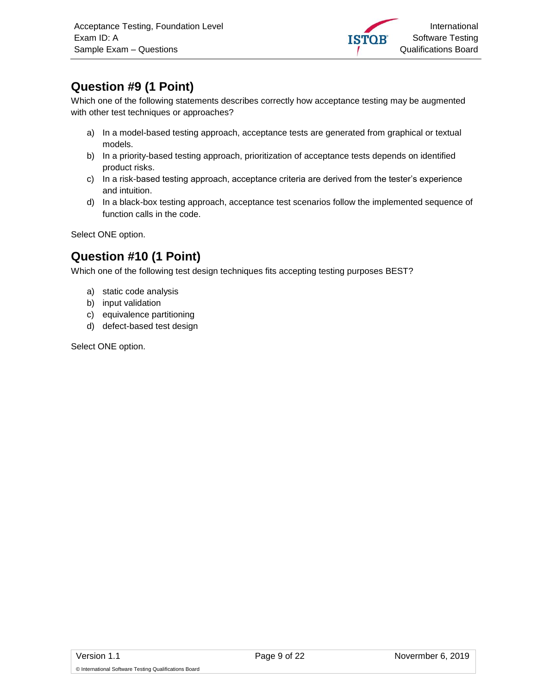

# <span id="page-8-0"></span>**Question #9 (1 Point)**

Which one of the following statements describes correctly how acceptance testing may be augmented with other test techniques or approaches?

- a) In a model-based testing approach, acceptance tests are generated from graphical or textual models.
- b) In a priority-based testing approach, prioritization of acceptance tests depends on identified product risks.
- c) In a risk-based testing approach, acceptance criteria are derived from the tester's experience and intuition.
- d) In a black-box testing approach, acceptance test scenarios follow the implemented sequence of function calls in the code.

Select ONE option.

# <span id="page-8-1"></span>**Question #10 (1 Point)**

Which one of the following test design techniques fits accepting testing purposes BEST?

- a) static code analysis
- b) input validation
- c) equivalence partitioning
- d) defect-based test design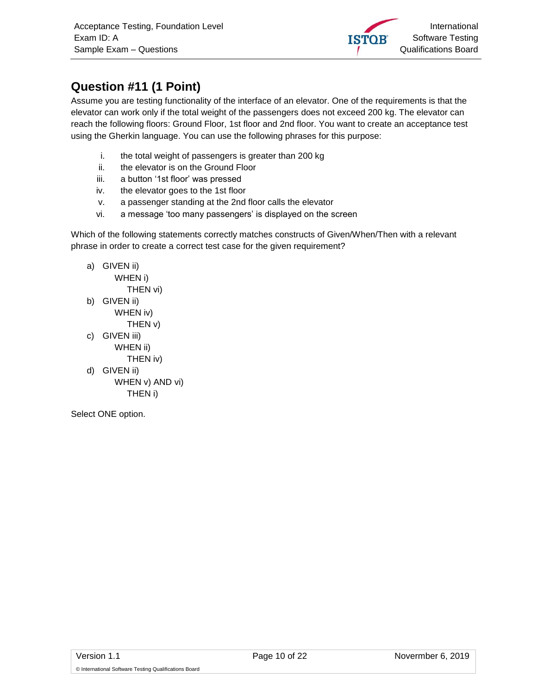

# <span id="page-9-0"></span>**Question #11 (1 Point)**

Assume you are testing functionality of the interface of an elevator. One of the requirements is that the elevator can work only if the total weight of the passengers does not exceed 200 kg. The elevator can reach the following floors: Ground Floor, 1st floor and 2nd floor. You want to create an acceptance test using the Gherkin language. You can use the following phrases for this purpose:

- i. the total weight of passengers is greater than 200 kg
- ii. the elevator is on the Ground Floor
- iii. a button '1st floor' was pressed
- iv. the elevator goes to the 1st floor
- v. a passenger standing at the 2nd floor calls the elevator
- vi. a message 'too many passengers' is displayed on the screen

Which of the following statements correctly matches constructs of Given/When/Then with a relevant phrase in order to create a correct test case for the given requirement?

a) GIVEN ii) WHEN i) THEN vi) b) GIVEN ii) WHEN iv) THEN v) c) GIVEN iii) WHEN ii) THEN iv) d) GIVEN ii) WHEN v) AND vi) THEN i)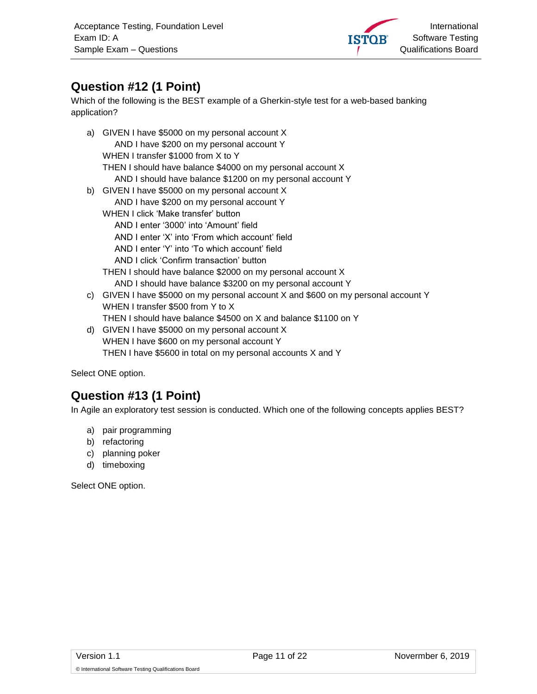

## <span id="page-10-0"></span>**Question #12 (1 Point)**

Which of the following is the BEST example of a Gherkin-style test for a web-based banking application?

a) GIVEN I have \$5000 on my personal account X AND I have \$200 on my personal account Y WHEN I transfer \$1000 from X to Y THEN I should have balance \$4000 on my personal account X AND I should have balance \$1200 on my personal account Y b) GIVEN I have \$5000 on my personal account X AND I have \$200 on my personal account Y WHEN I click 'Make transfer' button AND I enter '3000' into 'Amount' field AND I enter 'X' into 'From which account' field AND I enter 'Y' into 'To which account' field AND I click 'Confirm transaction' button THEN I should have balance \$2000 on my personal account X AND I should have balance \$3200 on my personal account Y c) GIVEN I have \$5000 on my personal account X and \$600 on my personal account Y WHEN I transfer \$500 from Y to X THEN I should have balance \$4500 on X and balance \$1100 on Y d) GIVEN I have \$5000 on my personal account X

WHEN I have \$600 on my personal account Y THEN I have \$5600 in total on my personal accounts X and Y

Select ONE option.

# <span id="page-10-1"></span>**Question #13 (1 Point)**

In Agile an exploratory test session is conducted. Which one of the following concepts applies BEST?

- a) pair programming
- b) refactoring
- c) planning poker
- d) timeboxing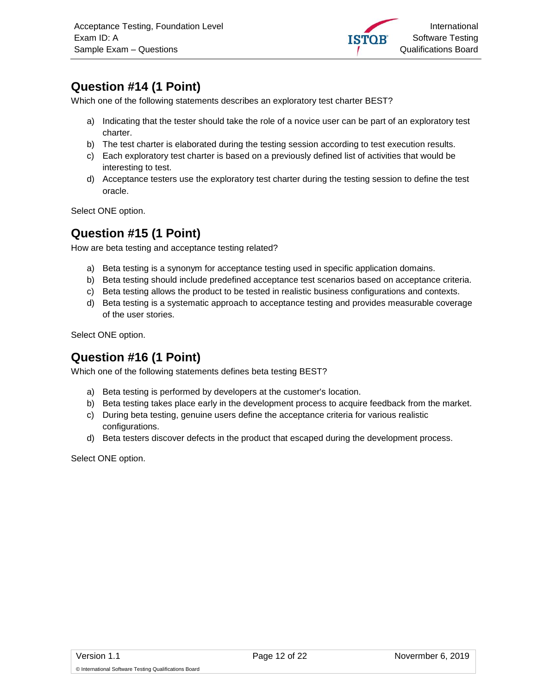

# <span id="page-11-0"></span>**Question #14 (1 Point)**

Which one of the following statements describes an exploratory test charter BEST?

- a) Indicating that the tester should take the role of a novice user can be part of an exploratory test charter.
- b) The test charter is elaborated during the testing session according to test execution results.
- c) Each exploratory test charter is based on a previously defined list of activities that would be interesting to test.
- d) Acceptance testers use the exploratory test charter during the testing session to define the test oracle.

Select ONE option.

#### <span id="page-11-1"></span>**Question #15 (1 Point)**

How are beta testing and acceptance testing related?

- a) Beta testing is a synonym for acceptance testing used in specific application domains.
- b) Beta testing should include predefined acceptance test scenarios based on acceptance criteria.
- c) Beta testing allows the product to be tested in realistic business configurations and contexts.
- d) Beta testing is a systematic approach to acceptance testing and provides measurable coverage of the user stories.

Select ONE option.

#### <span id="page-11-2"></span>**Question #16 (1 Point)**

Which one of the following statements defines beta testing BEST?

- a) Beta testing is performed by developers at the customer's location.
- b) Beta testing takes place early in the development process to acquire feedback from the market.
- c) During beta testing, genuine users define the acceptance criteria for various realistic configurations.
- d) Beta testers discover defects in the product that escaped during the development process.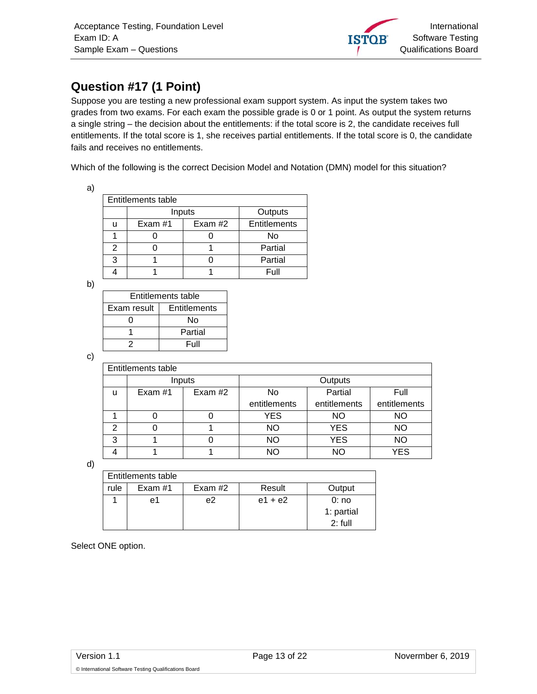

# <span id="page-12-0"></span>**Question #17 (1 Point)**

Suppose you are testing a new professional exam support system. As input the system takes two grades from two exams. For each exam the possible grade is 0 or 1 point. As output the system returns a single string – the decision about the entitlements: if the total score is 2, the candidate receives full entitlements. If the total score is 1, she receives partial entitlements. If the total score is 0, the candidate fails and receives no entitlements.

Which of the following is the correct Decision Model and Notation (DMN) model for this situation?

| ٠<br>۰<br>. .<br>× |  |
|--------------------|--|
|                    |  |

| <b>Entitlements table</b> |           |         |              |  |
|---------------------------|-----------|---------|--------------|--|
|                           | Inputs    | Outputs |              |  |
| U                         | Exam $#1$ | Exam #2 | Entitlements |  |
|                           |           |         | No           |  |
| 2                         |           |         | Partial      |  |
| 3                         |           |         | Partial      |  |
|                           |           |         | Full         |  |

b)

| Entitlements table |              |  |  |
|--------------------|--------------|--|--|
| Exam result        | Entitlements |  |  |
|                    | N٥           |  |  |
|                    | Partial      |  |  |
|                    | Full         |  |  |

c)

|   | <b>Entitlements table</b> |         |              |              |              |
|---|---------------------------|---------|--------------|--------------|--------------|
|   | Inputs                    |         | Outputs      |              |              |
| u | Exam #1                   | Exam #2 | No           | Partial      | Full         |
|   |                           |         | entitlements | entitlements | entitlements |
|   | O                         |         | YES          | NO           | NΟ           |
| 2 |                           |         | <b>NO</b>    | <b>YES</b>   | <b>NO</b>    |
| 3 |                           |         | NΟ           | <b>YES</b>   | NΟ           |
|   |                           |         | NΟ           | NO           | <b>YES</b>   |

d)

| Entitlements table |           |           |           |            |  |
|--------------------|-----------|-----------|-----------|------------|--|
| rule               | Exam $#1$ | Exam $#2$ | Result    | Output     |  |
|                    | e1        | e2        | $e1 + e2$ | 0:no       |  |
|                    |           |           |           | 1: partial |  |
|                    |           |           |           | $2:$ full  |  |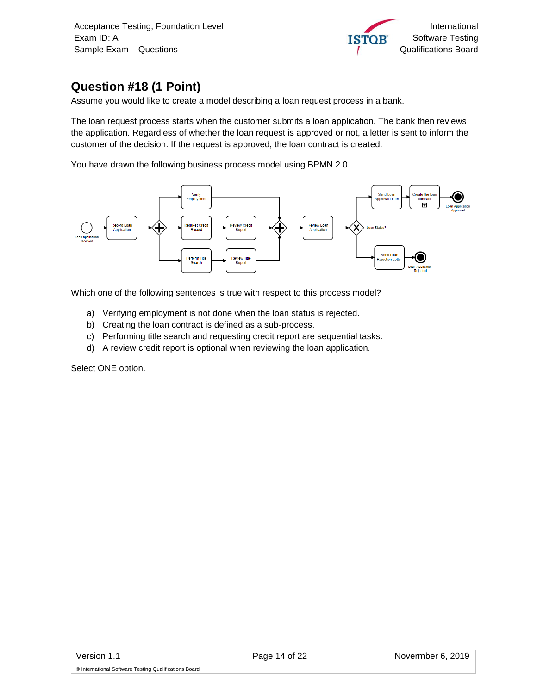

# <span id="page-13-0"></span>**Question #18 (1 Point)**

Assume you would like to create a model describing a loan request process in a bank.

The loan request process starts when the customer submits a loan application. The bank then reviews the application. Regardless of whether the loan request is approved or not, a letter is sent to inform the customer of the decision. If the request is approved, the loan contract is created.

You have drawn the following business process model using BPMN 2.0.



Which one of the following sentences is true with respect to this process model?

- a) Verifying employment is not done when the loan status is rejected.
- b) Creating the loan contract is defined as a sub-process.
- c) Performing title search and requesting credit report are sequential tasks.
- d) A review credit report is optional when reviewing the loan application.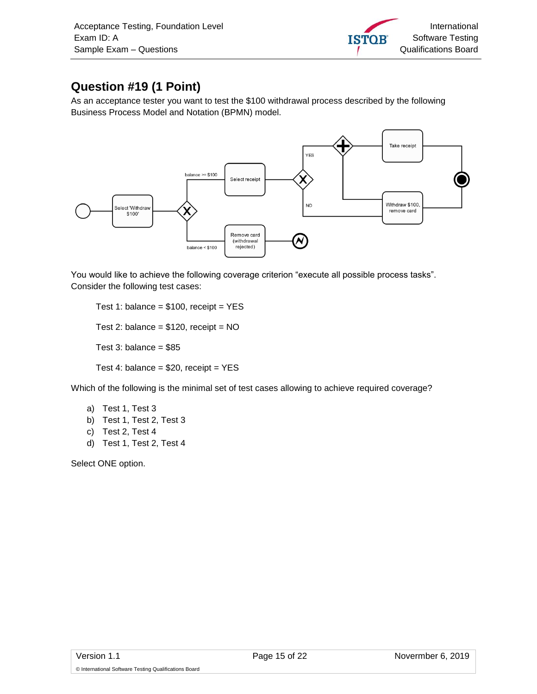

# <span id="page-14-0"></span>**Question #19 (1 Point)**

As an acceptance tester you want to test the \$100 withdrawal process described by the following Business Process Model and Notation (BPMN) model.



You would like to achieve the following coverage criterion "execute all possible process tasks". Consider the following test cases:

Test 1: balance =  $$100$ , receipt = YES Test 2: balance =  $$120$ , receipt = NO Test 3: balance =  $$85$ 

Test 4: balance =  $$20$ , receipt =  $YES$ 

Which of the following is the minimal set of test cases allowing to achieve required coverage?

- a) Test 1, Test 3
- b) Test 1, Test 2, Test 3
- c) Test 2, Test 4
- d) Test 1, Test 2, Test 4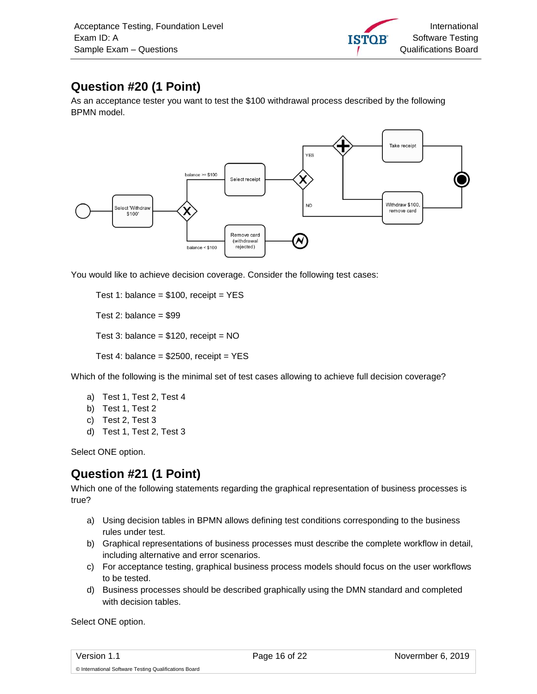

# <span id="page-15-0"></span>**Question #20 (1 Point)**

As an acceptance tester you want to test the \$100 withdrawal process described by the following BPMN model.



You would like to achieve decision coverage. Consider the following test cases:

Test 1: balance =  $$100$ , receipt = YES

Test 2: balance  $= $99$ 

Test 3: balance =  $$120$ , receipt = NO

Test 4: balance =  $$2500$ , receipt = YES

Which of the following is the minimal set of test cases allowing to achieve full decision coverage?

- a) Test 1, Test 2, Test 4
- b) Test 1, Test 2
- c) Test 2, Test 3
- d) Test 1, Test 2, Test 3

Select ONE option.

#### <span id="page-15-1"></span>**Question #21 (1 Point)**

Which one of the following statements regarding the graphical representation of business processes is true?

- a) Using decision tables in BPMN allows defining test conditions corresponding to the business rules under test.
- b) Graphical representations of business processes must describe the complete workflow in detail, including alternative and error scenarios.
- c) For acceptance testing, graphical business process models should focus on the user workflows to be tested.
- d) Business processes should be described graphically using the DMN standard and completed with decision tables.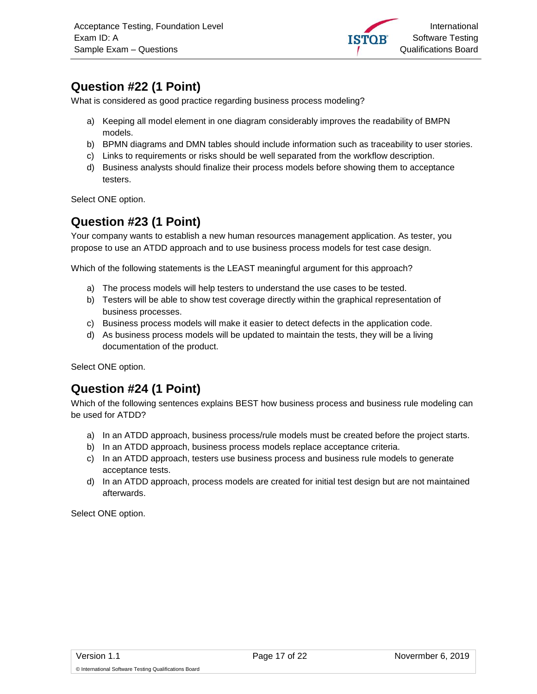

# <span id="page-16-0"></span>**Question #22 (1 Point)**

What is considered as good practice regarding business process modeling?

- a) Keeping all model element in one diagram considerably improves the readability of BMPN models.
- b) BPMN diagrams and DMN tables should include information such as traceability to user stories.
- c) Links to requirements or risks should be well separated from the workflow description.
- d) Business analysts should finalize their process models before showing them to acceptance testers.

Select ONE option.

#### <span id="page-16-1"></span>**Question #23 (1 Point)**

Your company wants to establish a new human resources management application. As tester, you propose to use an ATDD approach and to use business process models for test case design.

Which of the following statements is the LEAST meaningful argument for this approach?

- a) The process models will help testers to understand the use cases to be tested.
- b) Testers will be able to show test coverage directly within the graphical representation of business processes.
- c) Business process models will make it easier to detect defects in the application code.
- d) As business process models will be updated to maintain the tests, they will be a living documentation of the product.

Select ONE option.

#### <span id="page-16-2"></span>**Question #24 (1 Point)**

Which of the following sentences explains BEST how business process and business rule modeling can be used for ATDD?

- a) In an ATDD approach, business process/rule models must be created before the project starts.
- b) In an ATDD approach, business process models replace acceptance criteria.
- c) In an ATDD approach, testers use business process and business rule models to generate acceptance tests.
- d) In an ATDD approach, process models are created for initial test design but are not maintained afterwards.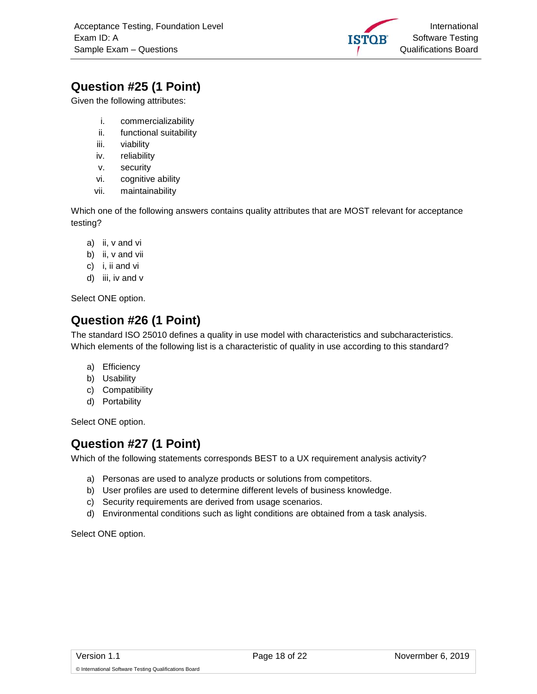

# <span id="page-17-0"></span>**Question #25 (1 Point)**

Given the following attributes:

- i. commercializability
- ii. functional suitability
- iii. viability
- iv. reliability
- v. security
- vi. cognitive ability
- vii. maintainability

Which one of the following answers contains quality attributes that are MOST relevant for acceptance testing?

- a) ii, v and vi
- b) ii, v and vii
- c) i, ii and vi
- d) iii, iv and v

Select ONE option.

#### <span id="page-17-1"></span>**Question #26 (1 Point)**

The standard ISO 25010 defines a quality in use model with characteristics and subcharacteristics. Which elements of the following list is a characteristic of quality in use according to this standard?

- a) Efficiency
- b) Usability
- c) Compatibility
- d) Portability

Select ONE option.

#### <span id="page-17-2"></span>**Question #27 (1 Point)**

Which of the following statements corresponds BEST to a UX requirement analysis activity?

- a) Personas are used to analyze products or solutions from competitors.
- b) User profiles are used to determine different levels of business knowledge.
- c) Security requirements are derived from usage scenarios.
- d) Environmental conditions such as light conditions are obtained from a task analysis.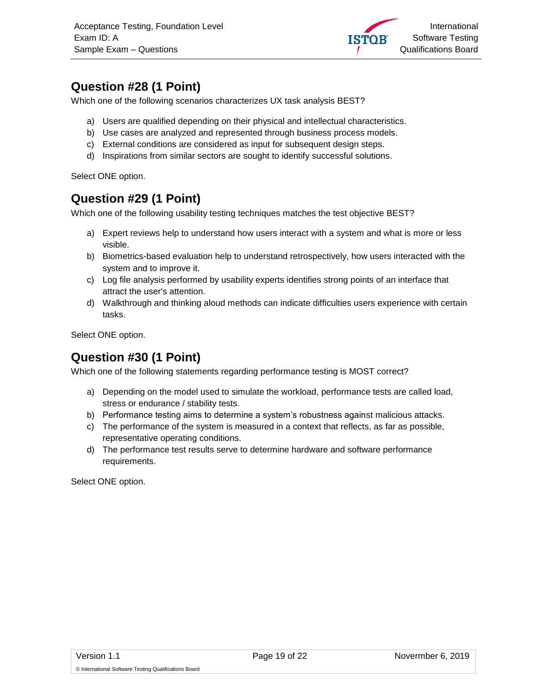

#### <span id="page-18-0"></span>**Question #28 (1 Point)**

Which one of the following scenarios characterizes UX task analysis BEST?

- a) Users are qualified depending on their physical and intellectual characteristics.
- b) Use cases are analyzed and represented through business process models.
- c) External conditions are considered as input for subsequent design steps.
- d) Inspirations from similar sectors are sought to identify successful solutions.

Select ONE option.

#### <span id="page-18-1"></span>**Question #29 (1 Point)**

Which one of the following usability testing techniques matches the test objective BEST?

- a) Expert reviews help to understand how users interact with a system and what is more or less visible.
- b) Biometrics-based evaluation help to understand retrospectively, how users interacted with the system and to improve it.
- c) Log file analysis performed by usability experts identifies strong points of an interface that attract the user's attention.
- d) Walkthrough and thinking aloud methods can indicate difficulties users experience with certain tasks.

Select ONE option.

#### <span id="page-18-2"></span>**Question #30 (1 Point)**

Which one of the following statements regarding performance testing is MOST correct?

- a) Depending on the model used to simulate the workload, performance tests are called load, stress or endurance / stability tests.
- b) Performance testing aims to determine a system's robustness against malicious attacks.
- c) The performance of the system is measured in a context that reflects, as far as possible, representative operating conditions.
- d) The performance test results serve to determine hardware and software performance requirements.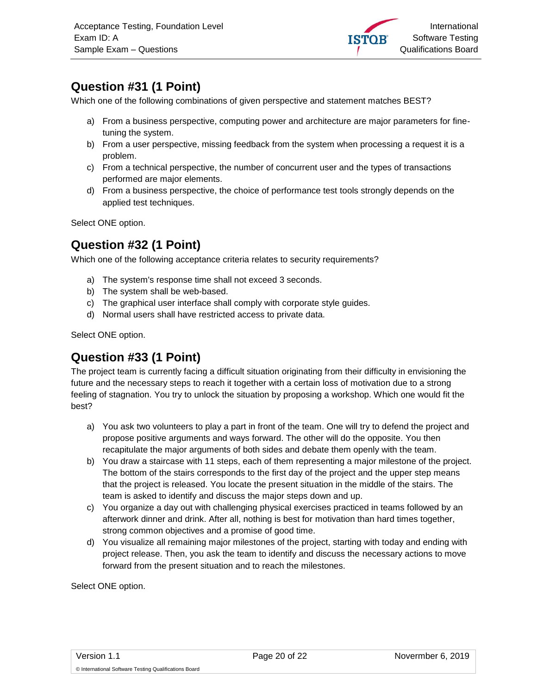

# <span id="page-19-0"></span>**Question #31 (1 Point)**

Which one of the following combinations of given perspective and statement matches BEST?

- a) From a business perspective, computing power and architecture are major parameters for finetuning the system.
- b) From a user perspective, missing feedback from the system when processing a request it is a problem.
- c) From a technical perspective, the number of concurrent user and the types of transactions performed are major elements.
- d) From a business perspective, the choice of performance test tools strongly depends on the applied test techniques.

Select ONE option.

#### <span id="page-19-1"></span>**Question #32 (1 Point)**

Which one of the following acceptance criteria relates to security requirements?

- a) The system's response time shall not exceed 3 seconds.
- b) The system shall be web-based.
- c) The graphical user interface shall comply with corporate style guides.
- d) Normal users shall have restricted access to private data.

Select ONE option.

#### <span id="page-19-2"></span>**Question #33 (1 Point)**

The project team is currently facing a difficult situation originating from their difficulty in envisioning the future and the necessary steps to reach it together with a certain loss of motivation due to a strong feeling of stagnation. You try to unlock the situation by proposing a workshop. Which one would fit the best?

- a) You ask two volunteers to play a part in front of the team. One will try to defend the project and propose positive arguments and ways forward. The other will do the opposite. You then recapitulate the major arguments of both sides and debate them openly with the team.
- b) You draw a staircase with 11 steps, each of them representing a major milestone of the project. The bottom of the stairs corresponds to the first day of the project and the upper step means that the project is released. You locate the present situation in the middle of the stairs. The team is asked to identify and discuss the major steps down and up.
- c) You organize a day out with challenging physical exercises practiced in teams followed by an afterwork dinner and drink. After all, nothing is best for motivation than hard times together, strong common objectives and a promise of good time.
- d) You visualize all remaining major milestones of the project, starting with today and ending with project release. Then, you ask the team to identify and discuss the necessary actions to move forward from the present situation and to reach the milestones.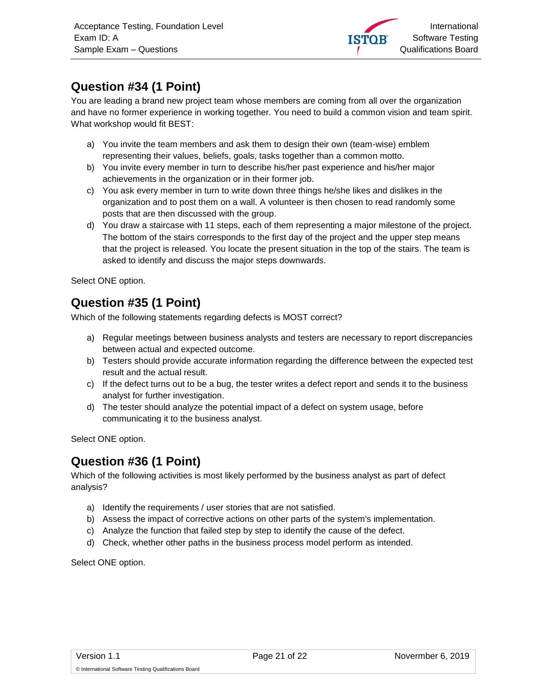

# <span id="page-20-0"></span>**Question #34 (1 Point)**

You are leading a brand new project team whose members are coming from all over the organization and have no former experience in working together. You need to build a common vision and team spirit. What workshop would fit BEST:

- a) You invite the team members and ask them to design their own (team-wise) emblem representing their values, beliefs, goals, tasks together than a common motto.
- b) You invite every member in turn to describe his/her past experience and his/her major achievements in the organization or in their former job.
- c) You ask every member in turn to write down three things he/she likes and dislikes in the organization and to post them on a wall. A volunteer is then chosen to read randomly some posts that are then discussed with the group.
- d) You draw a staircase with 11 steps, each of them representing a major milestone of the project. The bottom of the stairs corresponds to the first day of the project and the upper step means that the project is released. You locate the present situation in the top of the stairs. The team is asked to identify and discuss the major steps downwards.

Select ONE option.

#### <span id="page-20-1"></span>**Question #35 (1 Point)**

Which of the following statements regarding defects is MOST correct?

- a) Regular meetings between business analysts and testers are necessary to report discrepancies between actual and expected outcome.
- b) Testers should provide accurate information regarding the difference between the expected test result and the actual result.
- c) If the defect turns out to be a bug, the tester writes a defect report and sends it to the business analyst for further investigation.
- d) The tester should analyze the potential impact of a defect on system usage, before communicating it to the business analyst.

Select ONE option.

#### <span id="page-20-2"></span>**Question #36 (1 Point)**

Which of the following activities is most likely performed by the business analyst as part of defect analysis?

- a) Identify the requirements / user stories that are not satisfied.
- b) Assess the impact of corrective actions on other parts of the system's implementation.
- c) Analyze the function that failed step by step to identify the cause of the defect.
- d) Check, whether other paths in the business process model perform as intended.